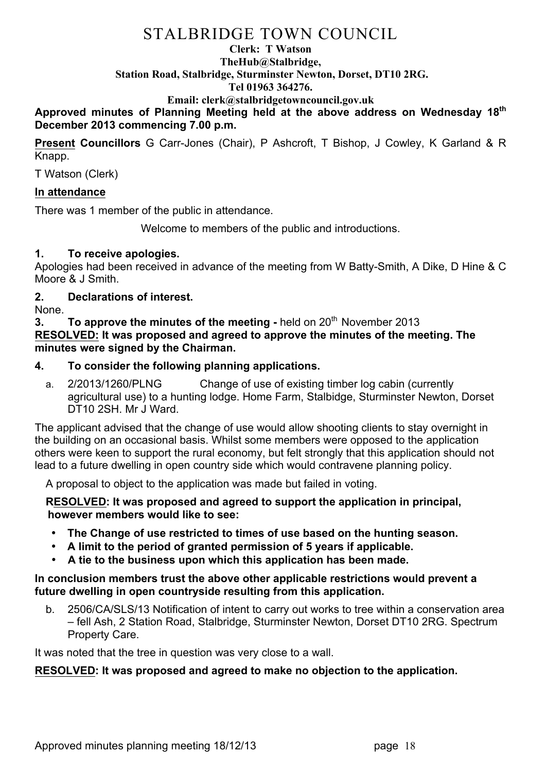# STALBRIDGE TOWN COUNCIL

#### **Clerk: T Watson TheHub@Stalbridge, Station Road, Stalbridge, Sturminster Newton, Dorset, DT10 2RG. Tel 01963 364276.**

### **Email: clerk@stalbridgetowncouncil.gov.uk**

**Approved minutes of Planning Meeting held at the above address on Wednesday 18th December 2013 commencing 7.00 p.m.**

**Present Councillors** G Carr-Jones (Chair), P Ashcroft, T Bishop, J Cowley, K Garland & R Knapp.

T Watson (Clerk)

#### **In attendance**

There was 1 member of the public in attendance.

Welcome to members of the public and introductions.

#### **1. To receive apologies.**

Apologies had been received in advance of the meeting from W Batty-Smith, A Dike, D Hine & C Moore & J Smith.

# **2. Declarations of interest.**

None.

**3. To approve the minutes of the meeting -** held on 20<sup>th</sup> November 2013 **RESOLVED: It was proposed and agreed to approve the minutes of the meeting. The minutes were signed by the Chairman.**

### **4. To consider the following planning applications.**

a. 2/2013/1260/PLNG Change of use of existing timber log cabin (currently agricultural use) to a hunting lodge. Home Farm, Stalbidge, Sturminster Newton, Dorset DT10 2SH. Mr J Ward.

The applicant advised that the change of use would allow shooting clients to stay overnight in the building on an occasional basis. Whilst some members were opposed to the application others were keen to support the rural economy, but felt strongly that this application should not lead to a future dwelling in open country side which would contravene planning policy.

A proposal to object to the application was made but failed in voting.

**RESOLVED: It was proposed and agreed to support the application in principal, however members would like to see:**

- **The Change of use restricted to times of use based on the hunting season.**
- **A limit to the period of granted permission of 5 years if applicable.**
- **A tie to the business upon which this application has been made.**

#### **In conclusion members trust the above other applicable restrictions would prevent a future dwelling in open countryside resulting from this application.**

b. 2506/CA/SLS/13 Notification of intent to carry out works to tree within a conservation area – fell Ash, 2 Station Road, Stalbridge, Sturminster Newton, Dorset DT10 2RG. Spectrum Property Care.

It was noted that the tree in question was very close to a wall.

### **RESOLVED: It was proposed and agreed to make no objection to the application.**